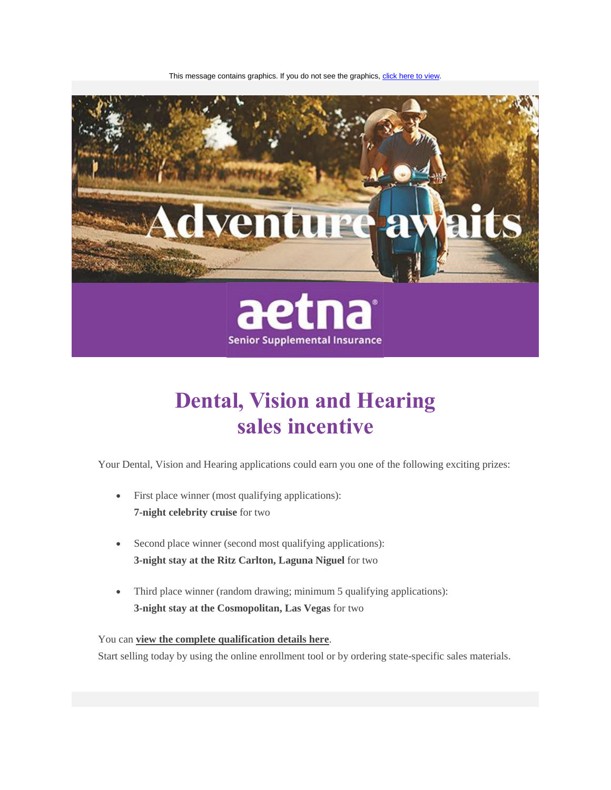This message contains graphics. If you do not see the graphics[, click here to view.](http://links.aetnacliacimedsupply.mkt4393.com/servlet/MailView?ms=MTk3NTcwOTYS1&r=MzUwMjU0MTEwNDI3S0&j=MTI4MDk4ODgzNwS2&mt=1&rt=0)



# **Dental, Vision and Hearing sales incentive**

Your Dental, Vision and Hearing applications could earn you one of the following exciting prizes:

- First place winner (most qualifying applications): **7-night celebrity cruise** for two
- Second place winner (second most qualifying applications): **3-night stay at the Ritz Carlton, Laguna Niguel** for two
- Third place winner (random drawing; minimum 5 qualifying applications): **3-night stay at the Cosmopolitan, Las Vegas** for two

## You can **[view the complete qualification details here](http://links.aetnacliacimedsupply.mkt4393.com/ctt?kn=15&ms=MTk3NTcwOTYS1&r=MzUwMjU0MTEwNDI3S0&b=0&j=MTI4MDk4ODgzNwS2&mt=1&rt=0)**.

Start selling today by using the online enrollment tool or by ordering state-specific sales materials.